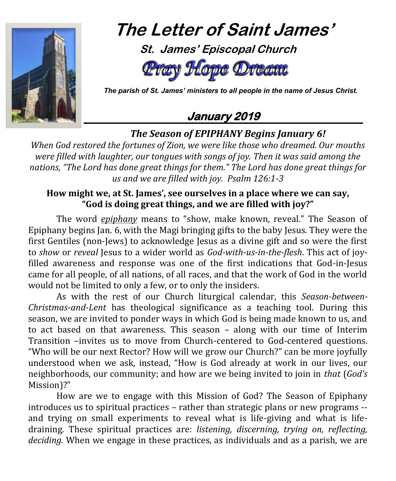

# **The Letter of Saint James'**

 **St. James' Episcopal Church** Hope Dream

 *The parish of St. James' ministers to all people in the name of Jesus Christ.*

# **January 2019**

## *The Season of EPIPHANY Begins January 6!*

*When God restored the fortunes of Zion, we were like those who dreamed. Our mouths were filled with laughter, our tongues with songs of joy. Then it was said among the nations, "The Lord has done great things for them." The Lord has done great things for us and we are filled with joy. Psalm 126:1-3*

#### **How might we, at St. James', see ourselves in a place where we can say, "God is doing great things, and we are filled with joy?"**

The word *epiphany* means to "show, make known, reveal." The Season of Epiphany begins Jan. 6, with the Magi bringing gifts to the baby Jesus. They were the first Gentiles (non-Jews) to acknowledge Jesus as a divine gift and so were the first to *show* or *reveal* Jesus to a wider world as *God-with-us-in-the-flesh*. This act of joyfilled awareness and response was one of the first indications that God-in-Jesus came for all people, of all nations, of all races, and that the work of God in the world would not be limited to only a few, or to only the insiders.

As with the rest of our Church liturgical calendar, this *Season-between-Christmas-and-Lent* has theological significance as a teaching tool. During this season, we are invited to ponder ways in which God is being made known to us, and to act based on that awareness. This season – along with our time of Interim Transition –invites us to move from Church-centered to God-centered questions. "Who will be our next Rector? How will we grow our Church?" can be more joyfully understood when we ask, instead, "How is God already at work in our lives, our neighborhoods, our community; and how are we being invited to join in *that* (*God's*  Mission)?"

How are we to engage with this Mission of God? The Season of Epiphany introduces us to spiritual practices – rather than strategic plans or new programs - and trying on small experiments to reveal what is life-giving and what is lifedraining. These spiritual practices are: *listening, discerning, trying on, reflecting, deciding.* When we engage in these practices, as individuals and as a parish, we are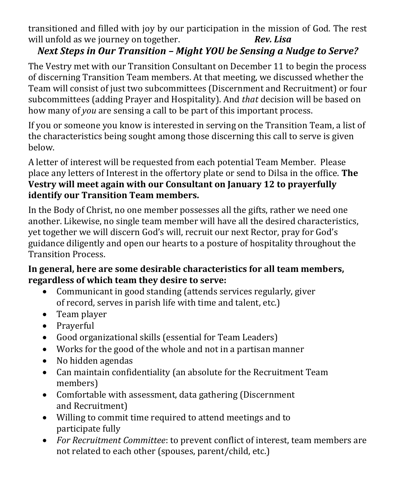transitioned and filled with joy by our participation in the mission of God. The rest will unfold as we journey on together. *Rev. Lisa* 

# *Next Steps in Our Transition – Might YOU be Sensing a Nudge to Serve?*

The Vestry met with our Transition Consultant on December 11 to begin the process of discerning Transition Team members. At that meeting, we discussed whether the Team will consist of just two subcommittees (Discernment and Recruitment) or four subcommittees (adding Prayer and Hospitality). And *that* decision will be based on how many of *you* are sensing a call to be part of this important process.

If you or someone you know is interested in serving on the Transition Team, a list of the characteristics being sought among those discerning this call to serve is given below.

A letter of interest will be requested from each potential Team Member. Please place any letters of Interest in the offertory plate or send to Dilsa in the office. **The Vestry will meet again with our Consultant on January 12 to prayerfully identify our Transition Team members.**

In the Body of Christ, no one member possesses all the gifts, rather we need one another. Likewise, no single team member will have all the desired characteristics, yet together we will discern God's will, recruit our next Rector, pray for God's guidance diligently and open our hearts to a posture of hospitality throughout the Transition Process.

#### **In general, here are some desirable characteristics for all team members, regardless of which team they desire to serve:**

- Communicant in good standing (attends services regularly, giver of record, serves in parish life with time and talent, etc.)
- Team player
- Praverful
- Good organizational skills (essential for Team Leaders)
- Works for the good of the whole and not in a partisan manner
- No hidden agendas
- Can maintain confidentiality (an absolute for the Recruitment Team members)
- Comfortable with assessment, data gathering (Discernment and Recruitment)
- Willing to commit time required to attend meetings and to participate fully
- *For Recruitment Committee*: to prevent conflict of interest, team members are not related to each other (spouses, parent/child, etc.)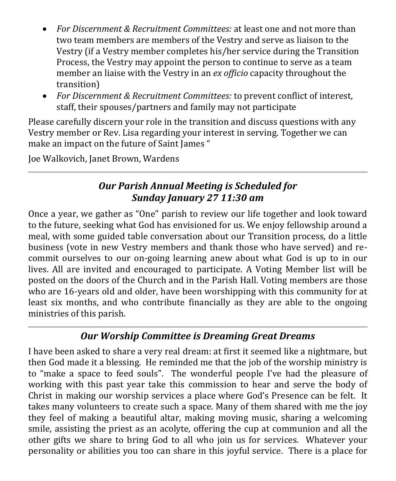- *For Discernment & Recruitment Committees:* at least one and not more than two team members are members of the Vestry and serve as liaison to the Vestry (if a Vestry member completes his/her service during the Transition Process, the Vestry may appoint the person to continue to serve as a team member an liaise with the Vestry in an *ex officio* capacity throughout the transition)
- *For Discernment & Recruitment Committees:* to prevent conflict of interest, staff, their spouses/partners and family may not participate

Please carefully discern your role in the transition and discuss questions with any Vestry member or Rev. Lisa regarding your interest in serving. Together we can make an impact on the future of Saint James "

Joe Walkovich, Janet Brown, Wardens

#### *Our Parish Annual Meeting is Scheduled for Sunday January 27 11:30 am*

Once a year, we gather as "One" parish to review our life together and look toward to the future, seeking what God has envisioned for us. We enjoy fellowship around a meal, with some guided table conversation about our Transition process, do a little business (vote in new Vestry members and thank those who have served) and recommit ourselves to our on-going learning anew about what God is up to in our lives. All are invited and encouraged to participate. A Voting Member list will be posted on the doors of the Church and in the Parish Hall. Voting members are those who are 16-years old and older, have been worshipping with this community for at least six months, and who contribute financially as they are able to the ongoing ministries of this parish.

#### *Our Worship Committee is Dreaming Great Dreams*

I have been asked to share a very real dream: at first it seemed like a nightmare, but then God made it a blessing. He reminded me that the job of the worship ministry is to "make a space to feed souls". The wonderful people I've had the pleasure of working with this past year take this commission to hear and serve the body of Christ in making our worship services a place where God's Presence can be felt. It takes many volunteers to create such a space. Many of them shared with me the joy they feel of making a beautiful altar, making moving music, sharing a welcoming smile, assisting the priest as an acolyte, offering the cup at communion and all the other gifts we share to bring God to all who join us for services. Whatever your personality or abilities you too can share in this joyful service. There is a place for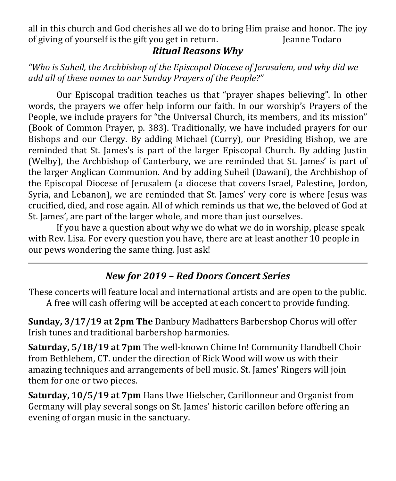all in this church and God cherishes all we do to bring Him praise and honor. The joy of giving of yourself is the gift you get in return. So all all earne Todaro

#### *Ritual Reasons Why*

*"Who is Suheil, the Archbishop of the Episcopal Diocese of Jerusalem, and why did we add all of these names to our Sunday Prayers of the People?"*

Our Episcopal tradition teaches us that "prayer shapes believing". In other words, the prayers we offer help inform our faith. In our worship's Prayers of the People, we include prayers for "the Universal Church, its members, and its mission" (Book of Common Prayer, p. 383). Traditionally, we have included prayers for our Bishops and our Clergy. By adding Michael (Curry), our Presiding Bishop, we are reminded that St. James's is part of the larger Episcopal Church. By adding Justin (Welby), the Archbishop of Canterbury, we are reminded that St. James' is part of the larger Anglican Communion. And by adding Suheil (Dawani), the Archbishop of the Episcopal Diocese of Jerusalem (a diocese that covers Israel, Palestine, Jordon, Syria, and Lebanon), we are reminded that St. James' very core is where Jesus was crucified, died, and rose again. All of which reminds us that we, the beloved of God at St. James', are part of the larger whole, and more than just ourselves.

If you have a question about why we do what we do in worship, please speak with Rev. Lisa. For every question you have, there are at least another 10 people in our pews wondering the same thing. Just ask!

# *New for 2019 – Red Doors Concert Series*

These concerts will feature local and international artists and are open to the public. A free will cash offering will be accepted at each concert to provide funding.

**Sunday, 3/17/19 at 2pm The** Danbury Madhatters Barbershop Chorus will offer Irish tunes and traditional barbershop harmonies.

**Saturday, 5/18/19 at 7pm** The well-known Chime In! Community Handbell Choir from Bethlehem, CT. under the direction of Rick Wood will wow us with their amazing techniques and arrangements of bell music. St. James' Ringers will join them for one or two pieces.

**Saturday, 10/5/19 at 7pm** Hans Uwe Hielscher, Carillonneur and Organist from Germany will play several songs on St. James' historic carillon before offering an evening of organ music in the sanctuary.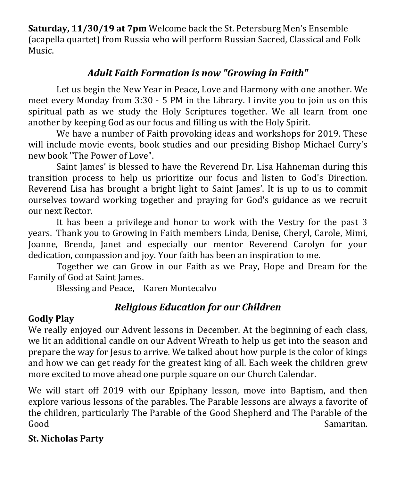**Saturday, 11/30/19 at 7pm** Welcome back the St. Petersburg Men's Ensemble (acapella quartet) from Russia who will perform Russian Sacred, Classical and Folk Music.

## *Adult Faith Formation is now "Growing in Faith"*

Let us begin the New Year in Peace, Love and Harmony with one another. We meet every Monday from 3:30 - 5 PM in the Library. I invite you to join us on this spiritual path as we study the Holy Scriptures together. We all learn from one another by keeping God as our focus and filling us with the Holy Spirit.

We have a number of Faith provoking ideas and workshops for 2019. These will include movie events, book studies and our presiding Bishop Michael Curry's new book "The Power of Love".

Saint James' is blessed to have the Reverend Dr. Lisa Hahneman during this transition process to help us prioritize our focus and listen to God's Direction. Reverend Lisa has brought a bright light to Saint James'. It is up to us to commit ourselves toward working together and praying for God's guidance as we recruit our next Rector.

It has been a privilege and honor to work with the Vestry for the past 3 years. Thank you to Growing in Faith members Linda, Denise, Cheryl, Carole, Mimi, Joanne, Brenda, Janet and especially our mentor Reverend Carolyn for your dedication, compassion and joy. Your faith has been an inspiration to me.

Together we can Grow in our Faith as we Pray, Hope and Dream for the Family of God at Saint James.

Blessing and Peace, Karen Montecalvo

# *Religious Education for our Children*

#### **Godly Play**

We really enjoyed our Advent lessons in December. At the beginning of each class, we lit an additional candle on our Advent Wreath to help us get into the season and prepare the way for Jesus to arrive. We talked about how purple is the color of kings and how we can get ready for the greatest king of all. Each week the children grew more excited to move ahead one purple square on our Church Calendar.

We will start off 2019 with our Epiphany lesson, move into Baptism, and then explore various lessons of the parables. The Parable lessons are always a favorite of the children, particularly The Parable of the Good Shepherd and The Parable of the Good Samaritan.

#### **St. Nicholas Party**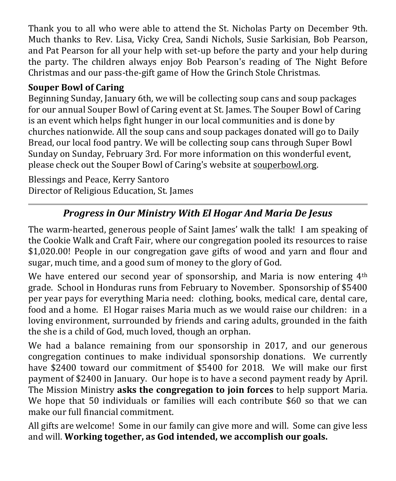Thank you to all who were able to attend the St. Nicholas Party on December 9th. Much thanks to Rev. Lisa, Vicky Crea, Sandi Nichols, Susie Sarkisian, Bob Pearson, and Pat Pearson for all your help with set-up before the party and your help during the party. The children always enjoy Bob Pearson's reading of The Night Before Christmas and our pass-the-gift game of How the Grinch Stole Christmas.

#### **Souper Bowl of Caring**

Beginning Sunday, January 6th, we will be collecting soup cans and soup packages for our annual Souper Bowl of Caring event at St. James. The Souper Bowl of Caring is an event which helps fight hunger in our local communities and is done by churches nationwide. All the soup cans and soup packages donated will go to Daily Bread, our local food pantry. We will be collecting soup cans through Super Bowl Sunday on Sunday, February 3rd. For more information on this wonderful event, please check out the Souper Bowl of Caring's website at [souperbowl.org.](http://souperbowl.org/)

Blessings and Peace, Kerry Santoro Director of Religious Education, St. James

# *Progress in Our Ministry With El Hogar And Maria De Jesus*

The warm-hearted, generous people of Saint James' walk the talk! I am speaking of the Cookie Walk and Craft Fair, where our congregation pooled its resources to raise \$1,020.00! People in our congregation gave gifts of wood and yarn and flour and sugar, much time, and a good sum of money to the glory of God.

We have entered our second year of sponsorship, and Maria is now entering 4<sup>th</sup> grade. School in Honduras runs from February to November. Sponsorship of \$5400 per year pays for everything Maria need: clothing, books, medical care, dental care, food and a home. El Hogar raises Maria much as we would raise our children: in a loving environment, surrounded by friends and caring adults, grounded in the faith the she is a child of God, much loved, though an orphan.

We had a balance remaining from our sponsorship in 2017, and our generous congregation continues to make individual sponsorship donations. We currently have \$2400 toward our commitment of \$5400 for 2018. We will make our first payment of \$2400 in January. Our hope is to have a second payment ready by April. The Mission Ministry **asks the congregation to join forces** to help support Maria. We hope that 50 individuals or families will each contribute \$60 so that we can make our full financial commitment.

All gifts are welcome! Some in our family can give more and will. Some can give less and will. **Working together, as God intended, we accomplish our goals.**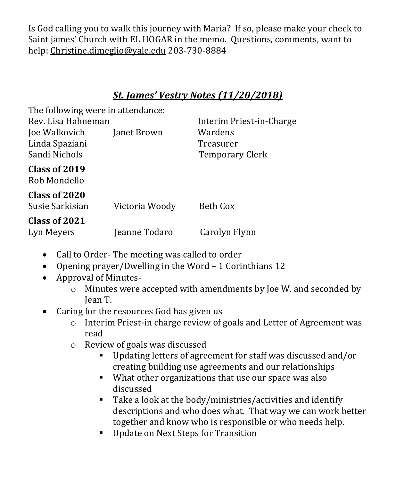Is God calling you to walk this journey with Maria? If so, please make your check to Saint james' Church with EL HOGAR in the memo. Questions, comments, want to help: [Christine.dimeglio@yale.edu](mailto:Christine.dimeglio@yale.edu) 203-730-8884

#### *St. James' Vestry Notes (11/20/2018)*

| The following were in attendance:                |                |                                                |  |
|--------------------------------------------------|----------------|------------------------------------------------|--|
| Rev. Lisa Hahneman                               |                | Interim Priest-in-Charge                       |  |
| Joe Walkovich<br>Linda Spaziani<br>Sandi Nichols | Janet Brown    | Wardens<br>Treasurer<br><b>Temporary Clerk</b> |  |
| Class of 2019<br>Rob Mondello                    |                |                                                |  |
| Class of 2020<br>Susie Sarkisian                 | Victoria Woody | Beth Cox                                       |  |
| Class of 2021<br>Lyn Meyers                      | Jeanne Todaro  | Carolyn Flynn                                  |  |

- Call to Order-The meeting was called to order
- Opening prayer/Dwelling in the Word 1 Corinthians 12
- Approval of Minutes
	- o Minutes were accepted with amendments by Joe W. and seconded by Jean T.
- Caring for the resources God has given us
	- o Interim Priest-in charge review of goals and Letter of Agreement was read
	- o Review of goals was discussed
		- Updating letters of agreement for staff was discussed and/or creating building use agreements and our relationships
		- What other organizations that use our space was also discussed
		- Take a look at the body/ministries/activities and identify descriptions and who does what. That way we can work better together and know who is responsible or who needs help.
		- Update on Next Steps for Transition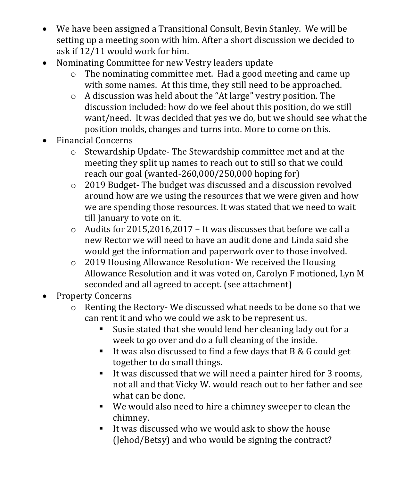- We have been assigned a Transitional Consult, Bevin Stanley. We will be setting up a meeting soon with him. After a short discussion we decided to ask if 12/11 would work for him.
- Nominating Committee for new Vestry leaders update
	- o The nominating committee met. Had a good meeting and came up with some names. At this time, they still need to be approached.
	- o A discussion was held about the "At large" vestry position. The discussion included: how do we feel about this position, do we still want/need. It was decided that yes we do, but we should see what the position molds, changes and turns into. More to come on this.
- Financial Concerns
	- o Stewardship Update- The Stewardship committee met and at the meeting they split up names to reach out to still so that we could reach our goal (wanted-260,000/250,000 hoping for)
	- o 2019 Budget- The budget was discussed and a discussion revolved around how are we using the resources that we were given and how we are spending those resources. It was stated that we need to wait till January to vote on it.
	- o Audits for 2015,2016,2017 It was discusses that before we call a new Rector we will need to have an audit done and Linda said she would get the information and paperwork over to those involved.
	- o 2019 Housing Allowance Resolution- We received the Housing Allowance Resolution and it was voted on, Carolyn F motioned, Lyn M seconded and all agreed to accept. (see attachment)
- Property Concerns
	- o Renting the Rectory- We discussed what needs to be done so that we can rent it and who we could we ask to be represent us.
		- Susie stated that she would lend her cleaning lady out for a week to go over and do a full cleaning of the inside.
		- It was also discussed to find a few days that  $B & G$  could get together to do small things.
		- It was discussed that we will need a painter hired for 3 rooms, not all and that Vicky W. would reach out to her father and see what can be done.
		- We would also need to hire a chimney sweeper to clean the chimney.
		- It was discussed who we would ask to show the house (Jehod/Betsy) and who would be signing the contract?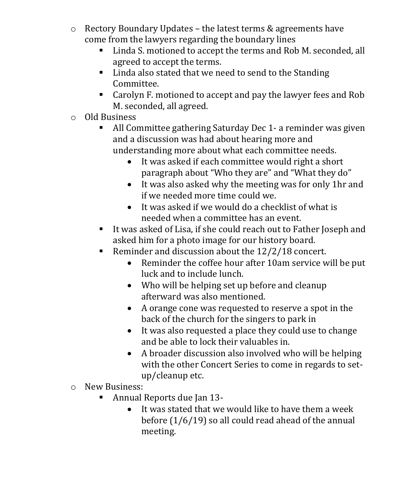- o Rectory Boundary Updates the latest terms & agreements have come from the lawyers regarding the boundary lines
	- **Linda S. motioned to accept the terms and Rob M. seconded, all** agreed to accept the terms.
	- Linda also stated that we need to send to the Standing Committee.
	- Carolyn F. motioned to accept and pay the lawyer fees and Rob M. seconded, all agreed.
- o Old Business
	- All Committee gathering Saturday Dec 1- a reminder was given and a discussion was had about hearing more and understanding more about what each committee needs.
		- It was asked if each committee would right a short paragraph about "Who they are" and "What they do"
		- It was also asked why the meeting was for only 1hr and if we needed more time could we.
		- It was asked if we would do a checklist of what is needed when a committee has an event.
	- It was asked of Lisa, if she could reach out to Father Joseph and asked him for a photo image for our history board.
	- Reminder and discussion about the  $12/2/18$  concert.
		- Reminder the coffee hour after 10am service will be put luck and to include lunch.
		- Who will be helping set up before and cleanup afterward was also mentioned.
		- A orange cone was requested to reserve a spot in the back of the church for the singers to park in
		- It was also requested a place they could use to change and be able to lock their valuables in.
		- A broader discussion also involved who will be helping with the other Concert Series to come in regards to setup/cleanup etc.
- o New Business:
	- Annual Reports due Jan 13-
		- It was stated that we would like to have them a week before (1/6/19) so all could read ahead of the annual meeting.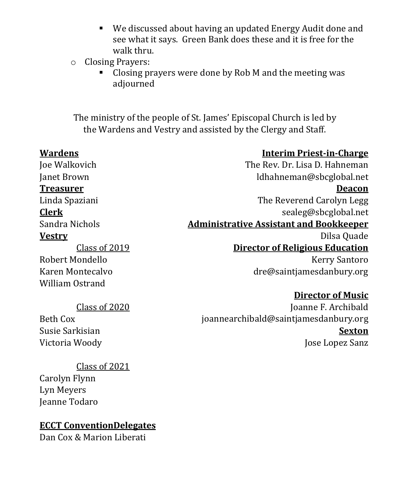We discussed about having an updated Energy Audit done and see what it says. Green Bank does these and it is free for the walk thru.

#### o Closing Prayers:

 Closing prayers were done by Rob M and the meeting was adjourned

The ministry of the people of St. James' Episcopal Church is led by the Wardens and Vestry and assisted by the Clergy and Staff.

| <b>Wardens</b>   | <b>Interim Priest-in-Charge</b>                |
|------------------|------------------------------------------------|
| Joe Walkovich    | The Rev. Dr. Lisa D. Hahneman                  |
| Janet Brown      | ldhahneman@sbcglobal.net                       |
| <b>Treasurer</b> | <b>Deacon</b>                                  |
| Linda Spaziani   | The Reverend Carolyn Legg                      |
| <u>Clerk</u>     | sealeg@sbcglobal.net                           |
| Sandra Nichols   | <b>Administrative Assistant and Bookkeeper</b> |
| <b>Vestry</b>    | Dilsa Quade                                    |
| Class of 2019    | <b>Director of Religious Education</b>         |
| Robert Mondello  | <b>Kerry Santoro</b>                           |
| Karen Montecalvo | dre@saintjamesdanbury.org                      |
| William Ostrand  |                                                |
|                  | Divector of Music                              |

#### Class of 2020

Beth Cox Susie Sarkisian Victoria Woody

**Director of Music** Joanne F. Archibald [joannearchibald@saintjamesdanbury.or](mailto:joannearchibald@saintjamesdanbury.org)g **Sexton** Jose Lopez Sanz

#### Class of 2021

Carolyn Flynn Lyn Meyers Jeanne Todaro

#### **ECCT ConventionDelegates**

Dan Cox & Marion Liberati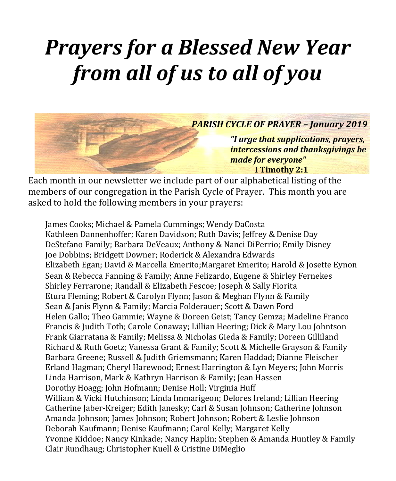# *Prayers for a Blessed New Year from all of us to all of you*



Each month in our newsletter we include part of our alphabetical listing of the members of our congregation in the Parish Cycle of Prayer. This month you are asked to hold the following members in your prayers:

James Cooks; Michael & Pamela Cummings; Wendy DaCosta Kathleen Dannenhoffer; Karen Davidson; Ruth Davis; Jeffrey & Denise Day DeStefano Family; Barbara DeVeaux; Anthony & Nanci DiPerrio; Emily Disney Joe Dobbins; Bridgett Downer; Roderick & Alexandra Edwards Elizabeth Egan; David & Marcella Emerito;Margaret Emerito; Harold & Josette Eynon Sean & Rebecca Fanning & Family; Anne Felizardo, Eugene & Shirley Fernekes Shirley Ferrarone; Randall & Elizabeth Fescoe; Joseph & Sally Fiorita Etura Fleming; Robert & Carolyn Flynn; Jason & Meghan Flynn & Family Sean & Janis Flynn & Family; Marcia Folderauer; Scott & Dawn Ford Helen Gallo; Theo Gammie; Wayne & Doreen Geist; Tancy Gemza; Madeline Franco Francis & Judith Toth; Carole Conaway; Lillian Heering; Dick & Mary Lou Johntson Frank Giarratana & Family; Melissa & Nicholas Gieda & Family; Doreen Gilliland Richard & Ruth Goetz; Vanessa Grant & Family; Scott & Michelle Grayson & Family Barbara Greene; Russell & Judith Griemsmann; Karen Haddad; Dianne Fleischer Erland Hagman; Cheryl Harewood; Ernest Harrington & Lyn Meyers; John Morris Linda Harrison, Mark & Kathryn Harrison & Family; Jean Hassen Dorothy Hoagg; John Hofmann; Denise Holl; Virginia Huff William & Vicki Hutchinson; Linda Immarigeon; Delores Ireland; Lillian Heering Catherine Jaber-Kreiger; Edith Janesky; Carl & Susan Johnson; Catherine Johnson Amanda Johnson; James Johnson; Robert Johnson; Robert & Leslie Johnson Deborah Kaufmann; Denise Kaufmann; Carol Kelly; Margaret Kelly Yvonne Kiddoe; Nancy Kinkade; Nancy Haplin; Stephen & Amanda Huntley & Family Clair Rundhaug; Christopher Kuell & Cristine DiMeglio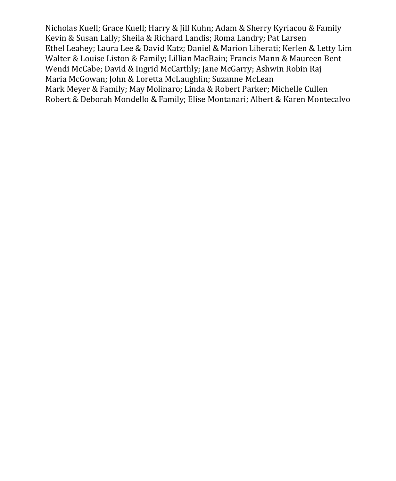Nicholas Kuell; Grace Kuell; Harry & Jill Kuhn; Adam & Sherry Kyriacou & Family Kevin & Susan Lally; Sheila & Richard Landis; Roma Landry; Pat Larsen Ethel Leahey; Laura Lee & David Katz; Daniel & Marion Liberati; Kerlen & Letty Lim Walter & Louise Liston & Family; Lillian MacBain; Francis Mann & Maureen Bent Wendi McCabe; David & Ingrid McCarthly; Jane McGarry; Ashwin Robin Raj Maria McGowan; John & Loretta McLaughlin; Suzanne McLean Mark Meyer & Family; May Molinaro; Linda & Robert Parker; Michelle Cullen Robert & Deborah Mondello & Family; Elise Montanari; Albert & Karen Montecalvo